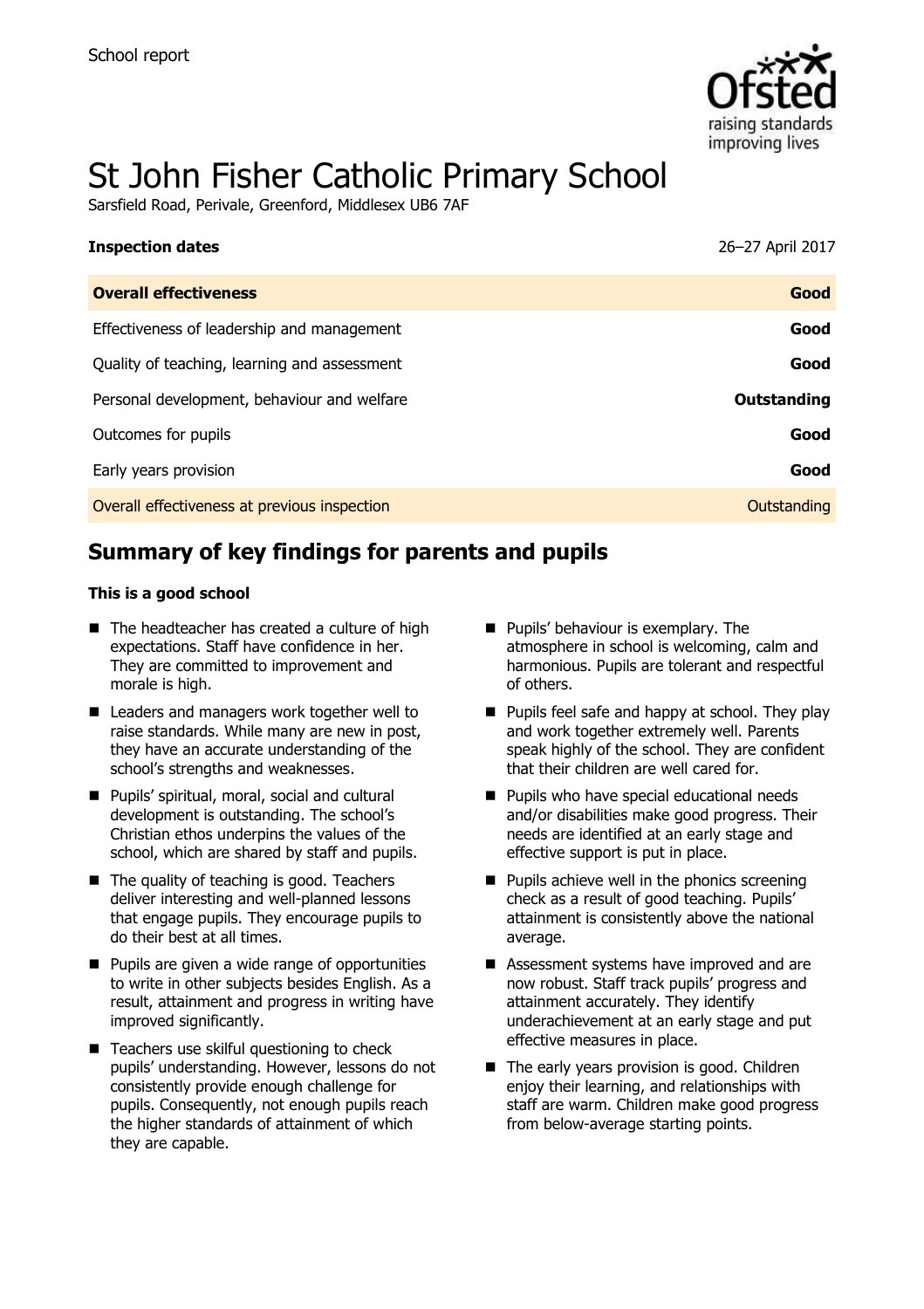

# St John Fisher Catholic Primary School

Sarsfield Road, Perivale, Greenford, Middlesex UB6 7AF

| <b>Inspection dates</b>                      | 26-27 April 2017 |
|----------------------------------------------|------------------|
| <b>Overall effectiveness</b>                 | Good             |
| Effectiveness of leadership and management   | Good             |
| Quality of teaching, learning and assessment | Good             |
| Personal development, behaviour and welfare  | Outstanding      |
| Outcomes for pupils                          | Good             |
| Early years provision                        | Good             |
| Overall effectiveness at previous inspection | Outstanding      |
|                                              |                  |

# **Summary of key findings for parents and pupils**

#### **This is a good school**

- $\blacksquare$  The headteacher has created a culture of high expectations. Staff have confidence in her. They are committed to improvement and morale is high.
- Leaders and managers work together well to raise standards. While many are new in post, they have an accurate understanding of the school's strengths and weaknesses.
- Pupils' spiritual, moral, social and cultural development is outstanding. The school's Christian ethos underpins the values of the school, which are shared by staff and pupils.
- $\blacksquare$  The quality of teaching is good. Teachers deliver interesting and well-planned lessons that engage pupils. They encourage pupils to do their best at all times.
- $\blacksquare$  Pupils are given a wide range of opportunities to write in other subjects besides English. As a result, attainment and progress in writing have improved significantly.
- Teachers use skilful questioning to check pupils' understanding. However, lessons do not consistently provide enough challenge for pupils. Consequently, not enough pupils reach the higher standards of attainment of which they are capable.
- **Pupils' behaviour is exemplary. The** atmosphere in school is welcoming, calm and harmonious. Pupils are tolerant and respectful of others.
- **Pupils feel safe and happy at school. They play** and work together extremely well. Parents speak highly of the school. They are confident that their children are well cared for.
- **Pupils who have special educational needs** and/or disabilities make good progress. Their needs are identified at an early stage and effective support is put in place.
- $\blacksquare$  Pupils achieve well in the phonics screening check as a result of good teaching. Pupils' attainment is consistently above the national average.
- Assessment systems have improved and are now robust. Staff track pupils' progress and attainment accurately. They identify underachievement at an early stage and put effective measures in place.
- The early years provision is good. Children enjoy their learning, and relationships with staff are warm. Children make good progress from below-average starting points.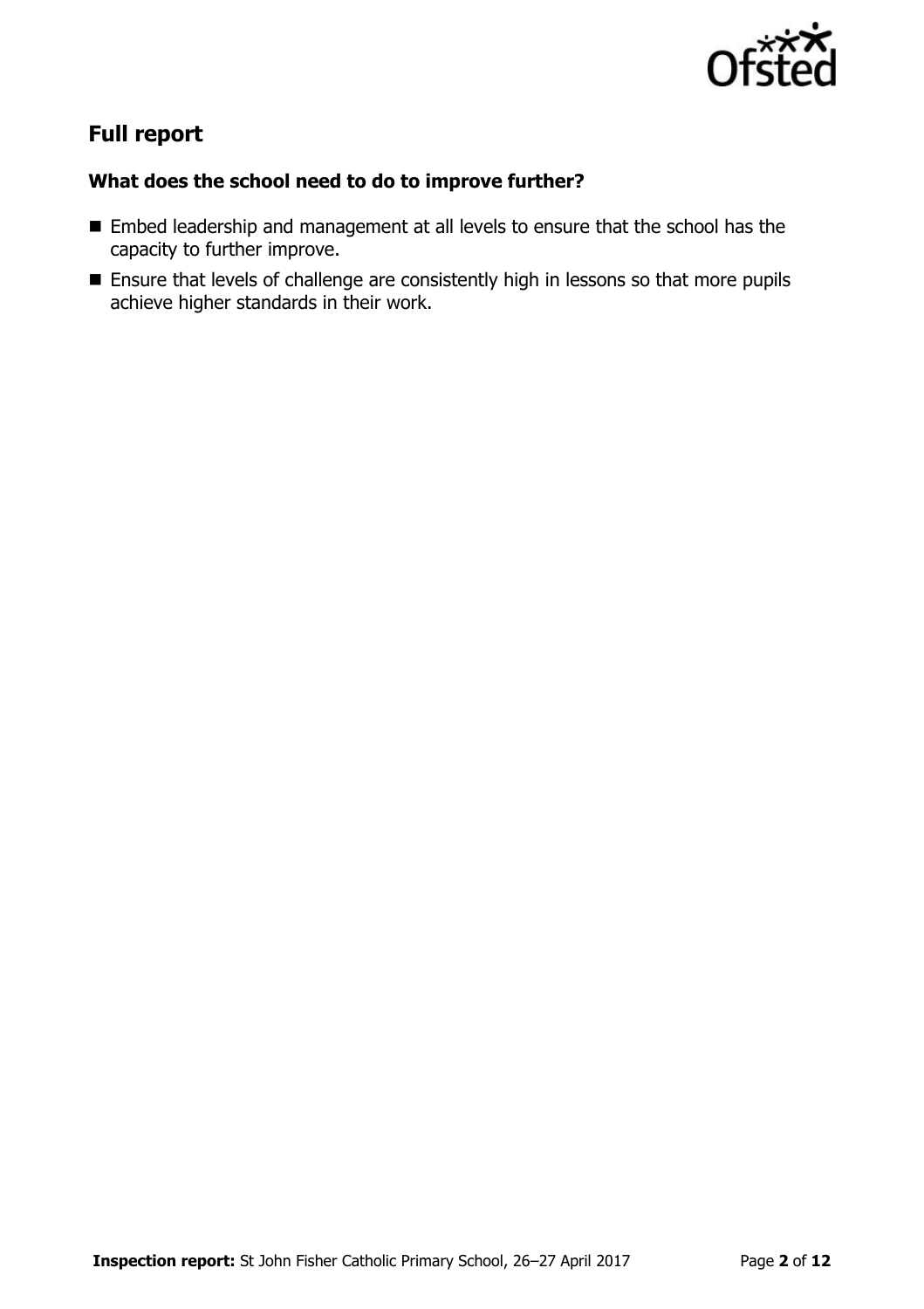

# **Full report**

### **What does the school need to do to improve further?**

- Embed leadership and management at all levels to ensure that the school has the capacity to further improve.
- **Ensure that levels of challenge are consistently high in lessons so that more pupils** achieve higher standards in their work.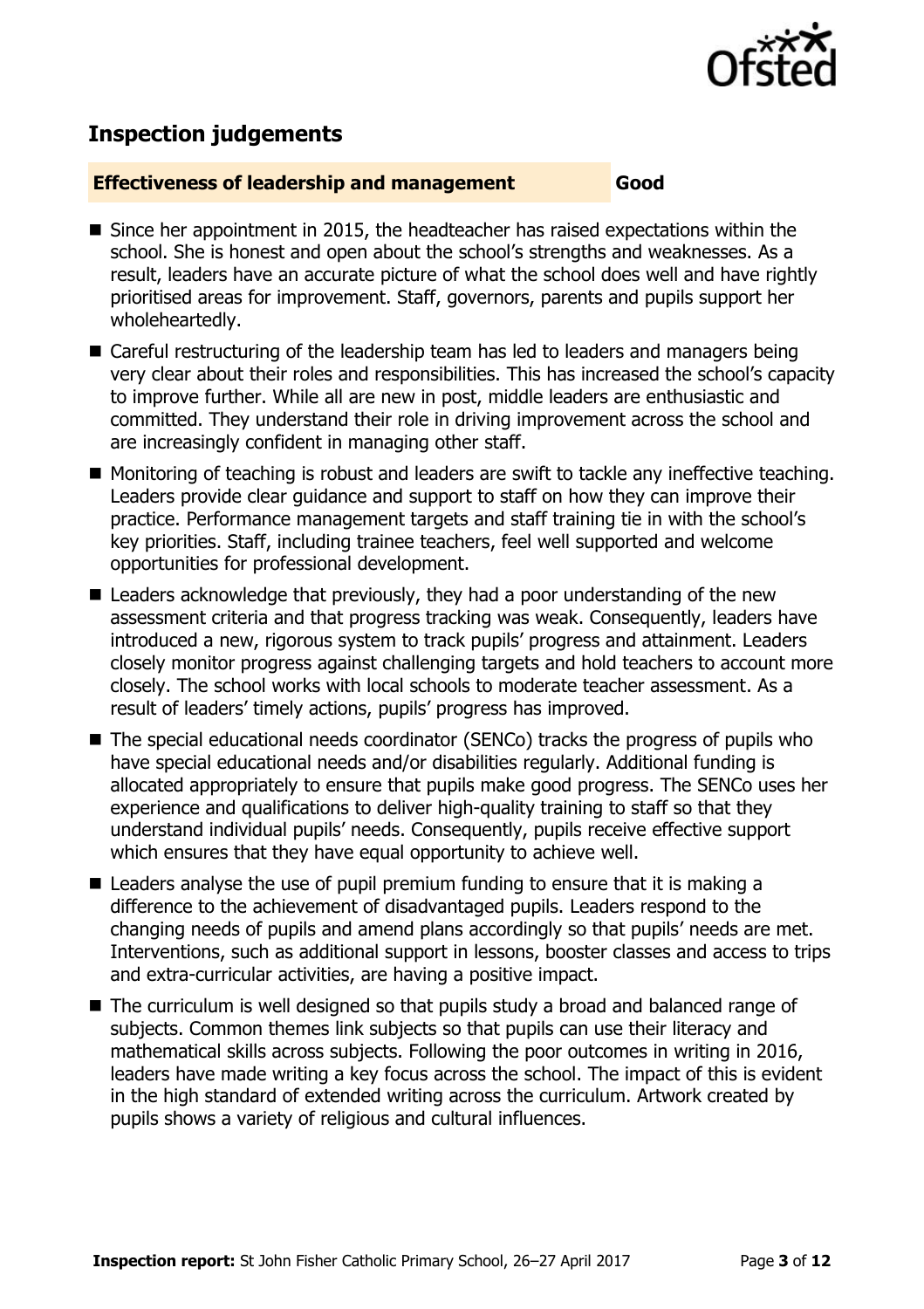

# **Inspection judgements**

#### **Effectiveness of leadership and management Good**

- Since her appointment in 2015, the headteacher has raised expectations within the school. She is honest and open about the school's strengths and weaknesses. As a result, leaders have an accurate picture of what the school does well and have rightly prioritised areas for improvement. Staff, governors, parents and pupils support her wholeheartedly.
- Careful restructuring of the leadership team has led to leaders and managers being very clear about their roles and responsibilities. This has increased the school's capacity to improve further. While all are new in post, middle leaders are enthusiastic and committed. They understand their role in driving improvement across the school and are increasingly confident in managing other staff.
- Monitoring of teaching is robust and leaders are swift to tackle any ineffective teaching. Leaders provide clear guidance and support to staff on how they can improve their practice. Performance management targets and staff training tie in with the school's key priorities. Staff, including trainee teachers, feel well supported and welcome opportunities for professional development.
- Leaders acknowledge that previously, they had a poor understanding of the new assessment criteria and that progress tracking was weak. Consequently, leaders have introduced a new, rigorous system to track pupils' progress and attainment. Leaders closely monitor progress against challenging targets and hold teachers to account more closely. The school works with local schools to moderate teacher assessment. As a result of leaders' timely actions, pupils' progress has improved.
- The special educational needs coordinator (SENCo) tracks the progress of pupils who have special educational needs and/or disabilities regularly. Additional funding is allocated appropriately to ensure that pupils make good progress. The SENCo uses her experience and qualifications to deliver high-quality training to staff so that they understand individual pupils' needs. Consequently, pupils receive effective support which ensures that they have equal opportunity to achieve well.
- $\blacksquare$  Leaders analyse the use of pupil premium funding to ensure that it is making a difference to the achievement of disadvantaged pupils. Leaders respond to the changing needs of pupils and amend plans accordingly so that pupils' needs are met. Interventions, such as additional support in lessons, booster classes and access to trips and extra-curricular activities, are having a positive impact.
- The curriculum is well designed so that pupils study a broad and balanced range of subjects. Common themes link subjects so that pupils can use their literacy and mathematical skills across subjects. Following the poor outcomes in writing in 2016, leaders have made writing a key focus across the school. The impact of this is evident in the high standard of extended writing across the curriculum. Artwork created by pupils shows a variety of religious and cultural influences.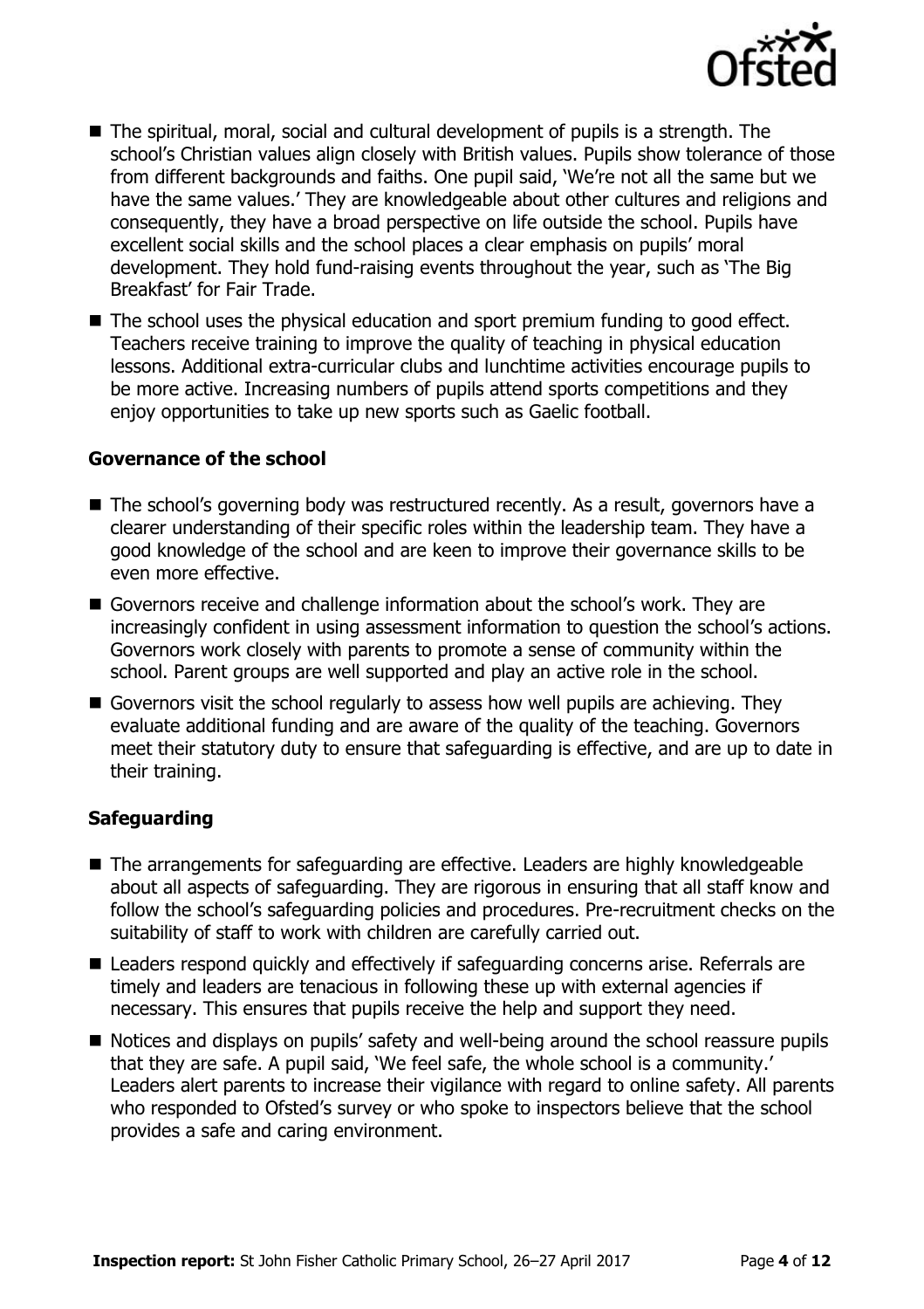

- The spiritual, moral, social and cultural development of pupils is a strength. The school's Christian values align closely with British values. Pupils show tolerance of those from different backgrounds and faiths. One pupil said, 'We're not all the same but we have the same values.' They are knowledgeable about other cultures and religions and consequently, they have a broad perspective on life outside the school. Pupils have excellent social skills and the school places a clear emphasis on pupils' moral development. They hold fund-raising events throughout the year, such as 'The Big Breakfast' for Fair Trade.
- The school uses the physical education and sport premium funding to good effect. Teachers receive training to improve the quality of teaching in physical education lessons. Additional extra-curricular clubs and lunchtime activities encourage pupils to be more active. Increasing numbers of pupils attend sports competitions and they enjoy opportunities to take up new sports such as Gaelic football.

#### **Governance of the school**

- The school's governing body was restructured recently. As a result, governors have a clearer understanding of their specific roles within the leadership team. They have a good knowledge of the school and are keen to improve their governance skills to be even more effective.
- Governors receive and challenge information about the school's work. They are increasingly confident in using assessment information to question the school's actions. Governors work closely with parents to promote a sense of community within the school. Parent groups are well supported and play an active role in the school.
- Governors visit the school regularly to assess how well pupils are achieving. They evaluate additional funding and are aware of the quality of the teaching. Governors meet their statutory duty to ensure that safeguarding is effective, and are up to date in their training.

### **Safeguarding**

- The arrangements for safeguarding are effective. Leaders are highly knowledgeable about all aspects of safeguarding. They are rigorous in ensuring that all staff know and follow the school's safeguarding policies and procedures. Pre-recruitment checks on the suitability of staff to work with children are carefully carried out.
- Leaders respond quickly and effectively if safeguarding concerns arise. Referrals are timely and leaders are tenacious in following these up with external agencies if necessary. This ensures that pupils receive the help and support they need.
- Notices and displays on pupils' safety and well-being around the school reassure pupils that they are safe. A pupil said, 'We feel safe, the whole school is a community.' Leaders alert parents to increase their vigilance with regard to online safety. All parents who responded to Ofsted's survey or who spoke to inspectors believe that the school provides a safe and caring environment.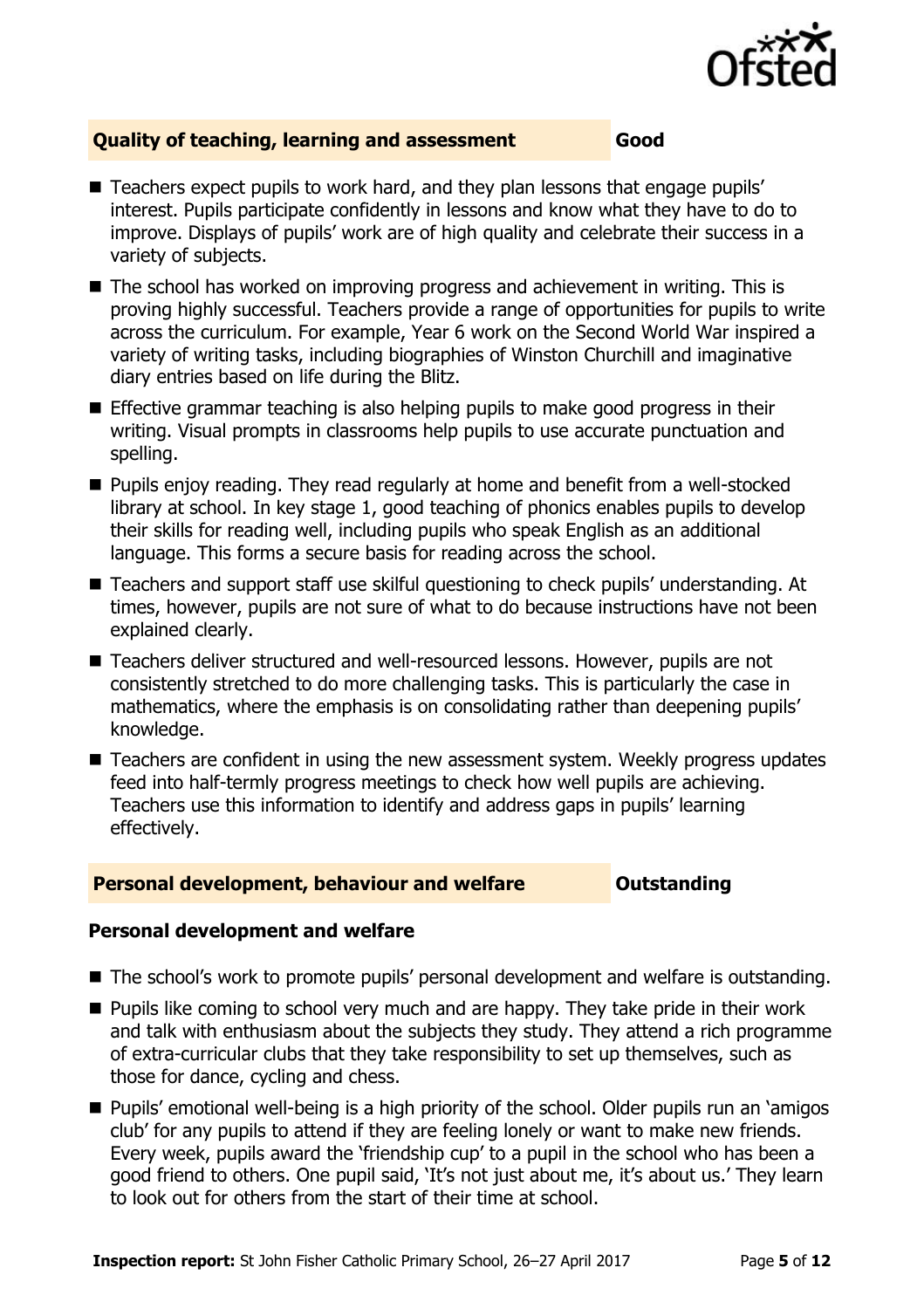

### **Quality of teaching, learning and assessment Good**

- Teachers expect pupils to work hard, and they plan lessons that engage pupils' interest. Pupils participate confidently in lessons and know what they have to do to improve. Displays of pupils' work are of high quality and celebrate their success in a variety of subjects.
- The school has worked on improving progress and achievement in writing. This is proving highly successful. Teachers provide a range of opportunities for pupils to write across the curriculum. For example, Year 6 work on the Second World War inspired a variety of writing tasks, including biographies of Winston Churchill and imaginative diary entries based on life during the Blitz.
- Effective grammar teaching is also helping pupils to make good progress in their writing. Visual prompts in classrooms help pupils to use accurate punctuation and spelling.
- **Pupils enjoy reading. They read regularly at home and benefit from a well-stocked** library at school. In key stage 1, good teaching of phonics enables pupils to develop their skills for reading well, including pupils who speak English as an additional language. This forms a secure basis for reading across the school.
- Teachers and support staff use skilful questioning to check pupils' understanding. At times, however, pupils are not sure of what to do because instructions have not been explained clearly.
- Teachers deliver structured and well-resourced lessons. However, pupils are not consistently stretched to do more challenging tasks. This is particularly the case in mathematics, where the emphasis is on consolidating rather than deepening pupils' knowledge.
- Teachers are confident in using the new assessment system. Weekly progress updates feed into half-termly progress meetings to check how well pupils are achieving. Teachers use this information to identify and address gaps in pupils' learning effectively.

#### **Personal development, behaviour and welfare <b>COUTS** Outstanding

#### **Personal development and welfare**

- The school's work to promote pupils' personal development and welfare is outstanding.
- $\blacksquare$  Pupils like coming to school very much and are happy. They take pride in their work and talk with enthusiasm about the subjects they study. They attend a rich programme of extra-curricular clubs that they take responsibility to set up themselves, such as those for dance, cycling and chess.
- Pupils' emotional well-being is a high priority of the school. Older pupils run an 'amigos club' for any pupils to attend if they are feeling lonely or want to make new friends. Every week, pupils award the 'friendship cup' to a pupil in the school who has been a good friend to others. One pupil said, 'It's not just about me, it's about us.' They learn to look out for others from the start of their time at school.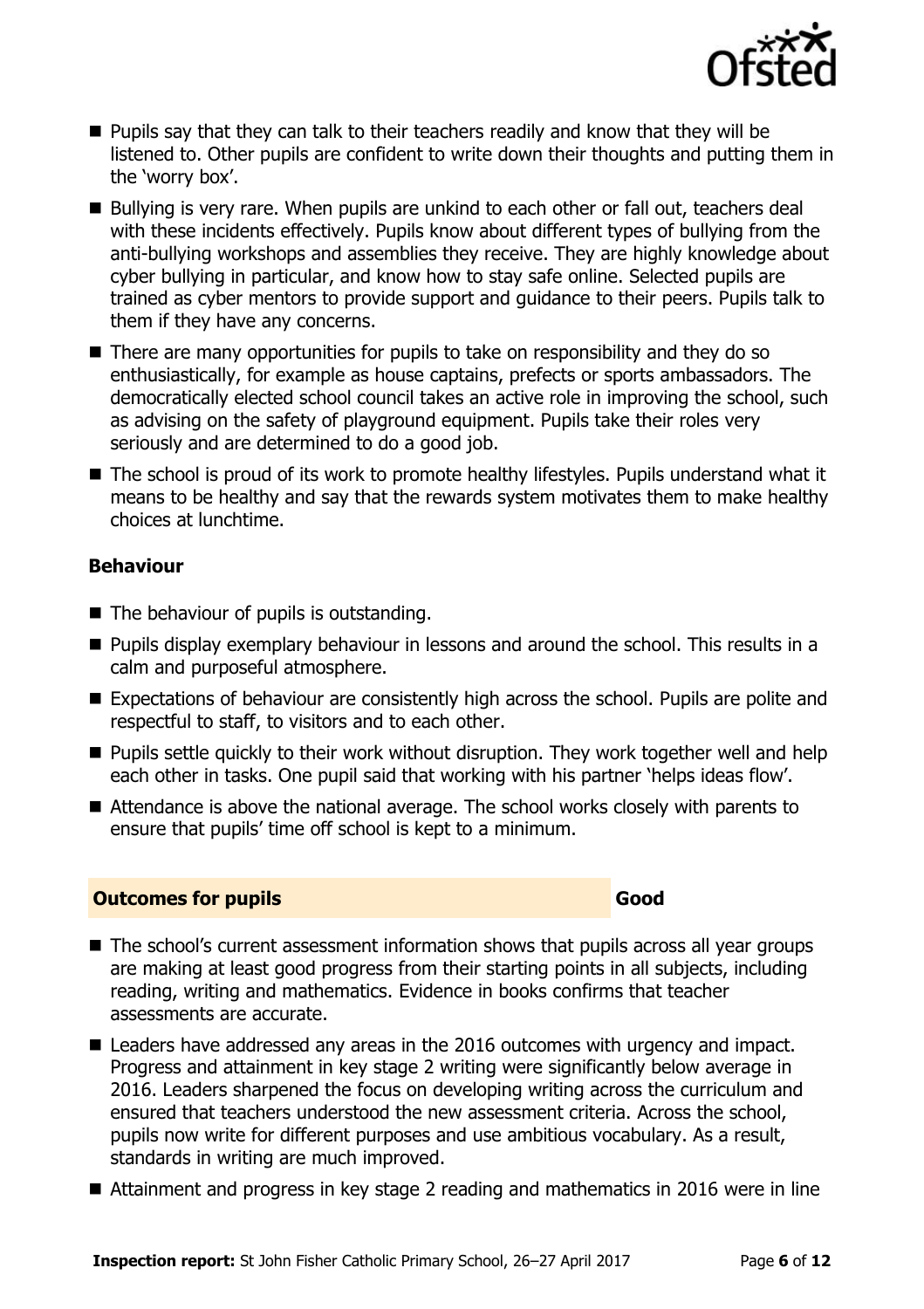

- $\blacksquare$  Pupils say that they can talk to their teachers readily and know that they will be listened to. Other pupils are confident to write down their thoughts and putting them in the 'worry box'.
- Bullying is very rare. When pupils are unkind to each other or fall out, teachers deal with these incidents effectively. Pupils know about different types of bullying from the anti-bullying workshops and assemblies they receive. They are highly knowledge about cyber bullying in particular, and know how to stay safe online. Selected pupils are trained as cyber mentors to provide support and guidance to their peers. Pupils talk to them if they have any concerns.
- There are many opportunities for pupils to take on responsibility and they do so enthusiastically, for example as house captains, prefects or sports ambassadors. The democratically elected school council takes an active role in improving the school, such as advising on the safety of playground equipment. Pupils take their roles very seriously and are determined to do a good job.
- The school is proud of its work to promote healthy lifestyles. Pupils understand what it means to be healthy and say that the rewards system motivates them to make healthy choices at lunchtime.

### **Behaviour**

- $\blacksquare$  The behaviour of pupils is outstanding.
- **Pupils display exemplary behaviour in lessons and around the school. This results in a** calm and purposeful atmosphere.
- Expectations of behaviour are consistently high across the school. Pupils are polite and respectful to staff, to visitors and to each other.
- **Pupils settle quickly to their work without disruption. They work together well and help** each other in tasks. One pupil said that working with his partner 'helps ideas flow'.
- Attendance is above the national average. The school works closely with parents to ensure that pupils' time off school is kept to a minimum.

#### **Outcomes for pupils Good Good**

- The school's current assessment information shows that pupils across all year groups are making at least good progress from their starting points in all subjects, including reading, writing and mathematics. Evidence in books confirms that teacher assessments are accurate.
- Leaders have addressed any areas in the 2016 outcomes with urgency and impact. Progress and attainment in key stage 2 writing were significantly below average in 2016. Leaders sharpened the focus on developing writing across the curriculum and ensured that teachers understood the new assessment criteria. Across the school, pupils now write for different purposes and use ambitious vocabulary. As a result, standards in writing are much improved.
- Attainment and progress in key stage 2 reading and mathematics in 2016 were in line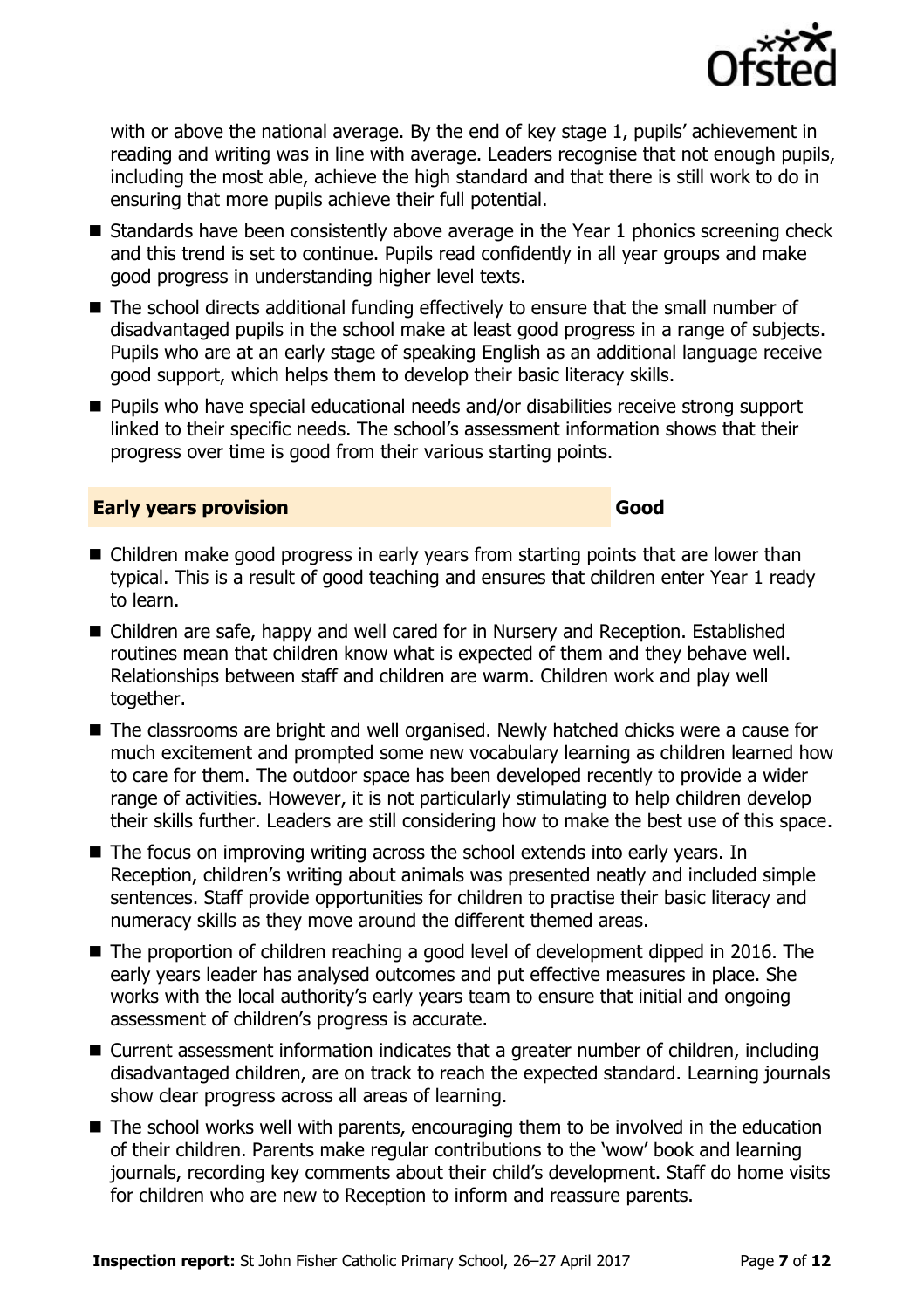

with or above the national average. By the end of key stage 1, pupils' achievement in reading and writing was in line with average. Leaders recognise that not enough pupils, including the most able, achieve the high standard and that there is still work to do in ensuring that more pupils achieve their full potential.

- $\blacksquare$  Standards have been consistently above average in the Year 1 phonics screening check and this trend is set to continue. Pupils read confidently in all year groups and make good progress in understanding higher level texts.
- The school directs additional funding effectively to ensure that the small number of disadvantaged pupils in the school make at least good progress in a range of subjects. Pupils who are at an early stage of speaking English as an additional language receive good support, which helps them to develop their basic literacy skills.
- Pupils who have special educational needs and/or disabilities receive strong support linked to their specific needs. The school's assessment information shows that their progress over time is good from their various starting points.

#### **Early years provision Good Good**

- Children make good progress in early years from starting points that are lower than typical. This is a result of good teaching and ensures that children enter Year 1 ready to learn.
- Children are safe, happy and well cared for in Nursery and Reception. Established routines mean that children know what is expected of them and they behave well. Relationships between staff and children are warm. Children work and play well together.
- The classrooms are bright and well organised. Newly hatched chicks were a cause for much excitement and prompted some new vocabulary learning as children learned how to care for them. The outdoor space has been developed recently to provide a wider range of activities. However, it is not particularly stimulating to help children develop their skills further. Leaders are still considering how to make the best use of this space.
- The focus on improving writing across the school extends into early years. In Reception, children's writing about animals was presented neatly and included simple sentences. Staff provide opportunities for children to practise their basic literacy and numeracy skills as they move around the different themed areas.
- The proportion of children reaching a good level of development dipped in 2016. The early years leader has analysed outcomes and put effective measures in place. She works with the local authority's early years team to ensure that initial and ongoing assessment of children's progress is accurate.
- Current assessment information indicates that a greater number of children, including disadvantaged children, are on track to reach the expected standard. Learning journals show clear progress across all areas of learning.
- $\blacksquare$  The school works well with parents, encouraging them to be involved in the education of their children. Parents make regular contributions to the 'wow' book and learning journals, recording key comments about their child's development. Staff do home visits for children who are new to Reception to inform and reassure parents.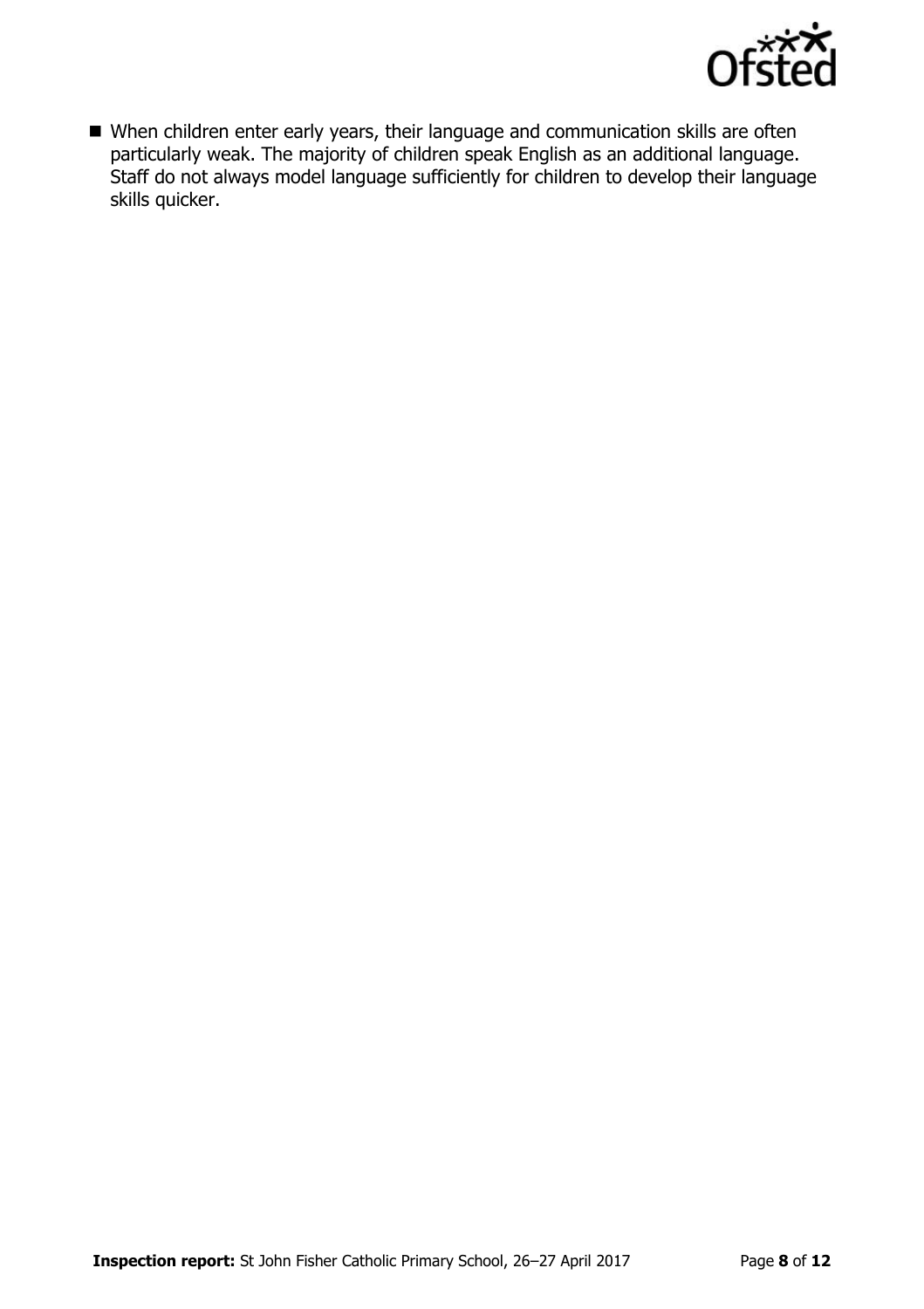

 When children enter early years, their language and communication skills are often particularly weak. The majority of children speak English as an additional language. Staff do not always model language sufficiently for children to develop their language skills quicker.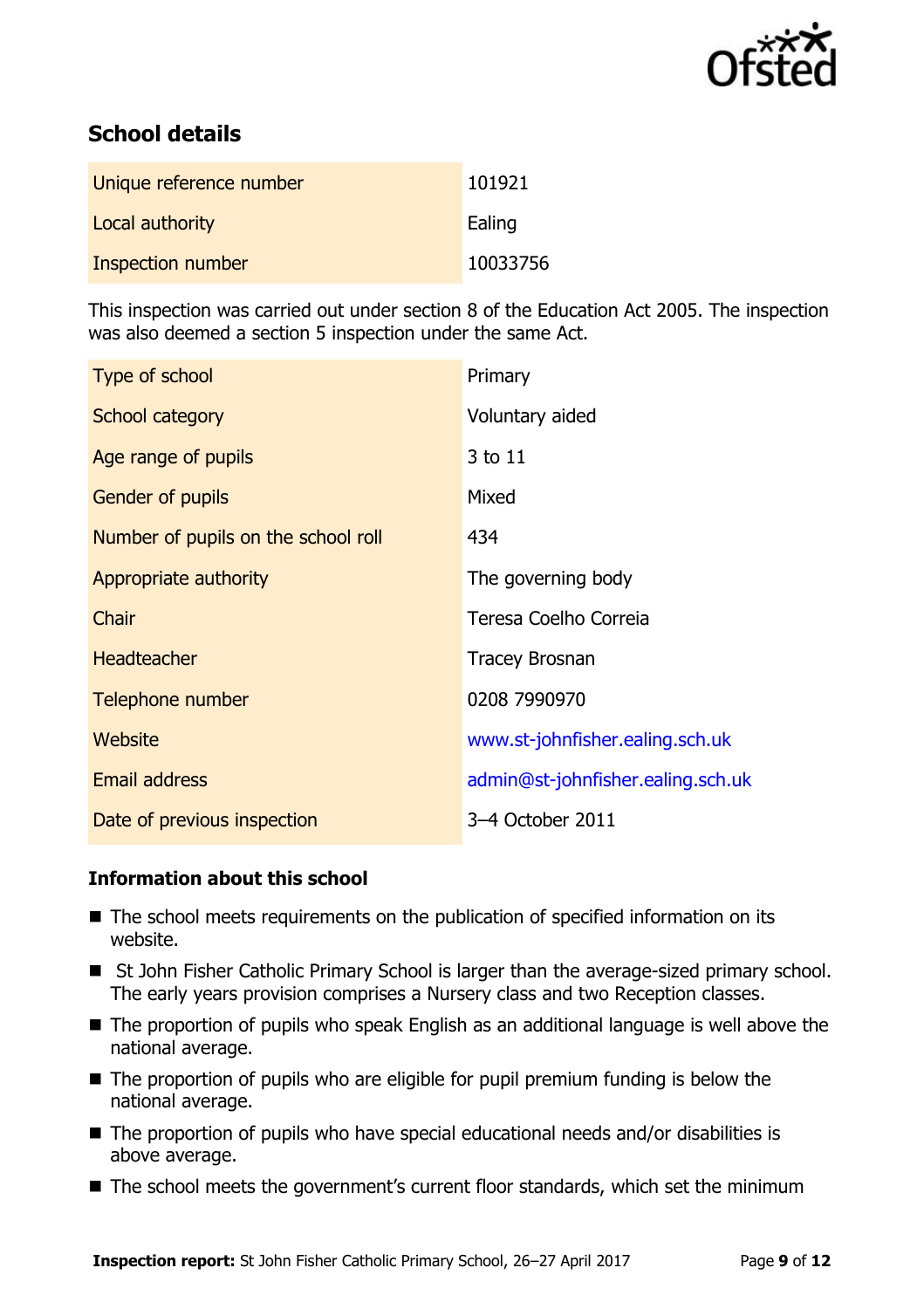

# **School details**

| Unique reference number | 101921   |
|-------------------------|----------|
| Local authority         | Ealing   |
| Inspection number       | 10033756 |

This inspection was carried out under section 8 of the Education Act 2005. The inspection was also deemed a section 5 inspection under the same Act.

| Type of school                      | Primary                           |
|-------------------------------------|-----------------------------------|
| School category                     | Voluntary aided                   |
| Age range of pupils                 | 3 to 11                           |
| <b>Gender of pupils</b>             | Mixed                             |
| Number of pupils on the school roll | 434                               |
| Appropriate authority               | The governing body                |
| Chair                               | Teresa Coelho Correia             |
| Headteacher                         | <b>Tracey Brosnan</b>             |
| Telephone number                    | 0208 7990970                      |
| <b>Website</b>                      | www.st-johnfisher.ealing.sch.uk   |
| <b>Email address</b>                | admin@st-johnfisher.ealing.sch.uk |
| Date of previous inspection         | 3-4 October 2011                  |

### **Information about this school**

- The school meets requirements on the publication of specified information on its website.
- St John Fisher Catholic Primary School is larger than the average-sized primary school. The early years provision comprises a Nursery class and two Reception classes.
- The proportion of pupils who speak English as an additional language is well above the national average.
- $\blacksquare$  The proportion of pupils who are eligible for pupil premium funding is below the national average.
- The proportion of pupils who have special educational needs and/or disabilities is above average.
- The school meets the government's current floor standards, which set the minimum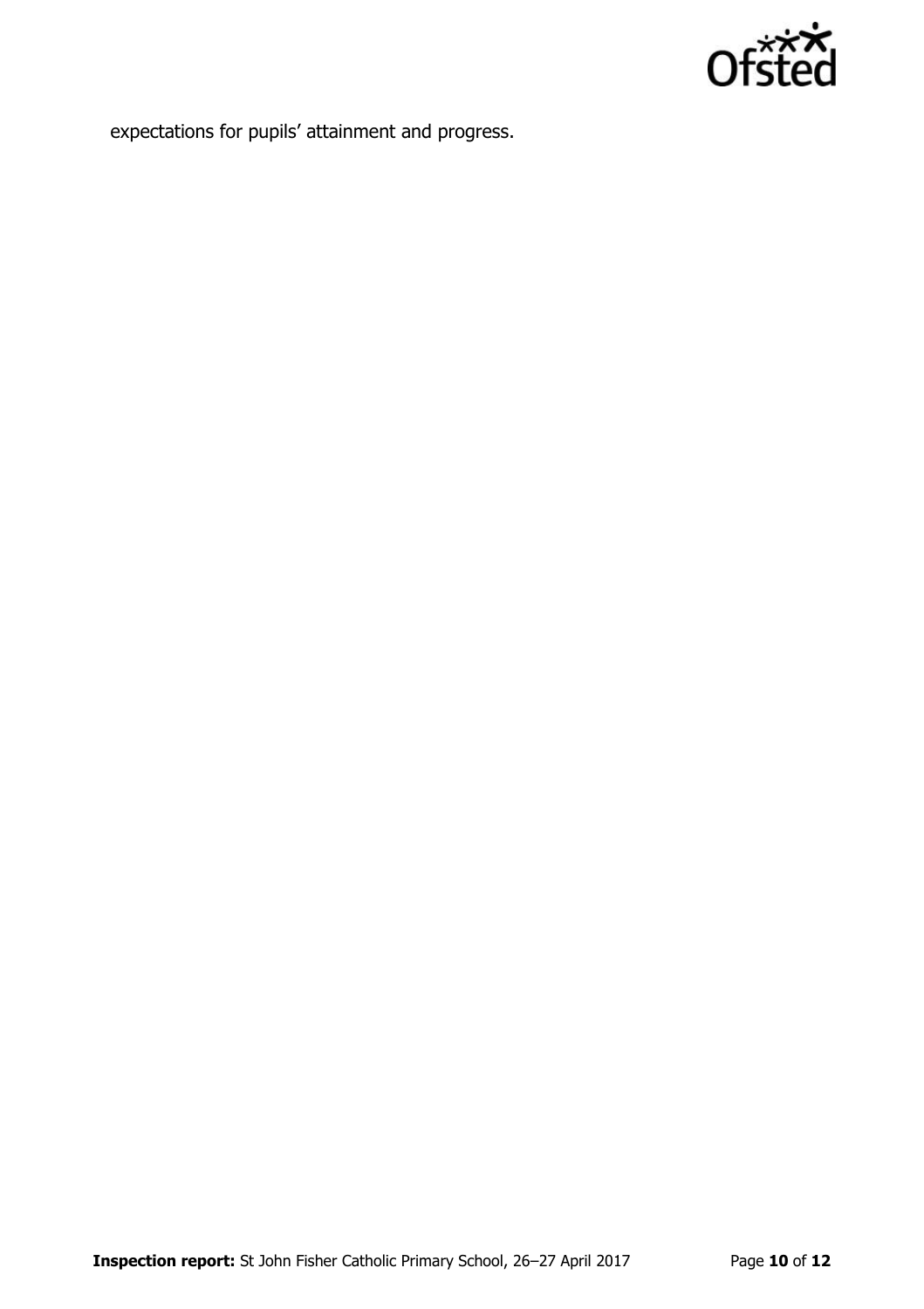

expectations for pupils' attainment and progress.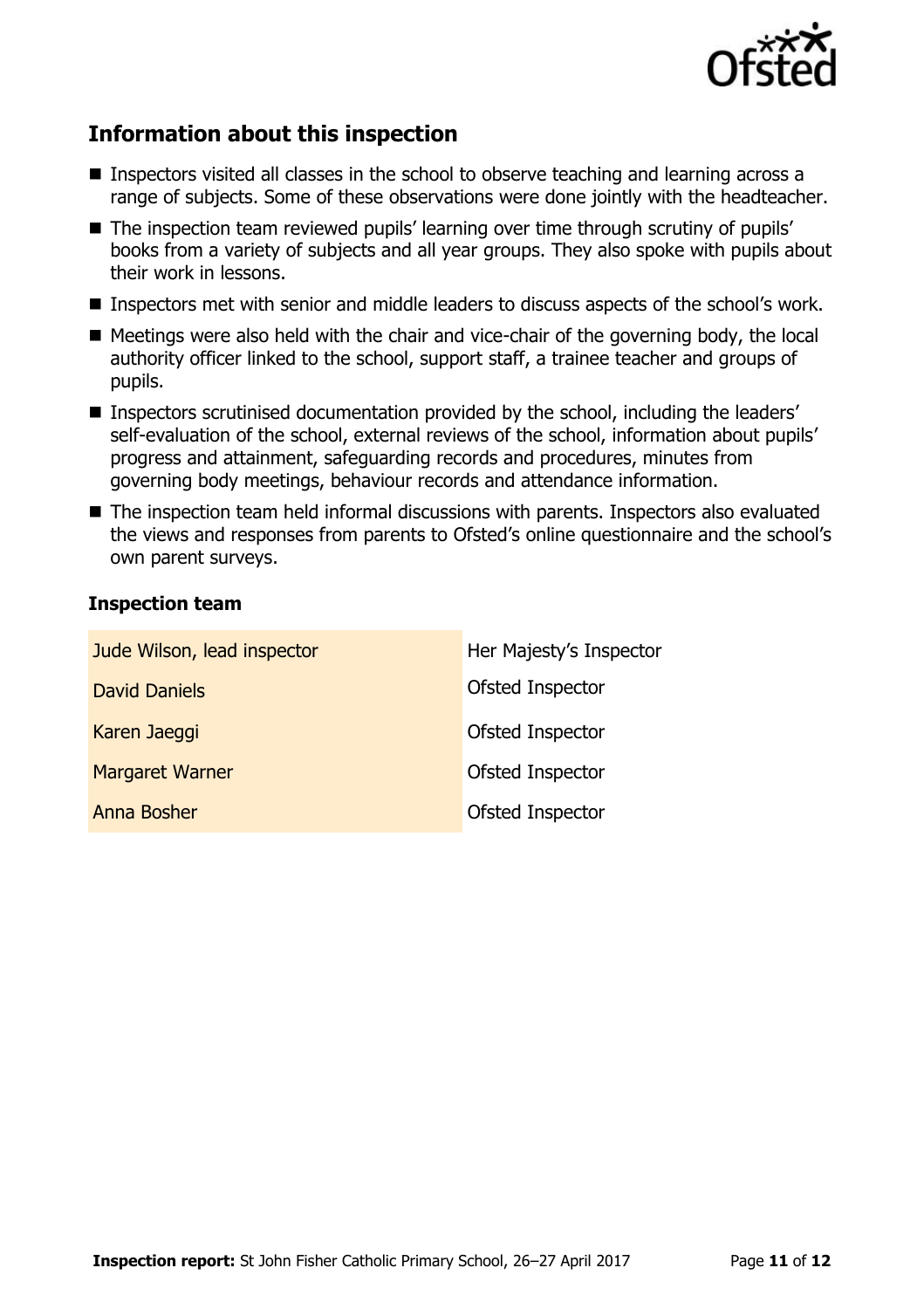

# **Information about this inspection**

- Inspectors visited all classes in the school to observe teaching and learning across a range of subjects. Some of these observations were done jointly with the headteacher.
- The inspection team reviewed pupils' learning over time through scrutiny of pupils' books from a variety of subjects and all year groups. They also spoke with pupils about their work in lessons.
- Inspectors met with senior and middle leaders to discuss aspects of the school's work.
- Meetings were also held with the chair and vice-chair of the governing body, the local authority officer linked to the school, support staff, a trainee teacher and groups of pupils.
- **Inspectors scrutinised documentation provided by the school, including the leaders'** self-evaluation of the school, external reviews of the school, information about pupils' progress and attainment, safeguarding records and procedures, minutes from governing body meetings, behaviour records and attendance information.
- The inspection team held informal discussions with parents. Inspectors also evaluated the views and responses from parents to Ofsted's online questionnaire and the school's own parent surveys.

#### **Inspection team**

| Jude Wilson, lead inspector | Her Majesty's Inspector |
|-----------------------------|-------------------------|
| <b>David Daniels</b>        | Ofsted Inspector        |
| Karen Jaeggi                | Ofsted Inspector        |
| <b>Margaret Warner</b>      | Ofsted Inspector        |
| Anna Bosher                 | Ofsted Inspector        |